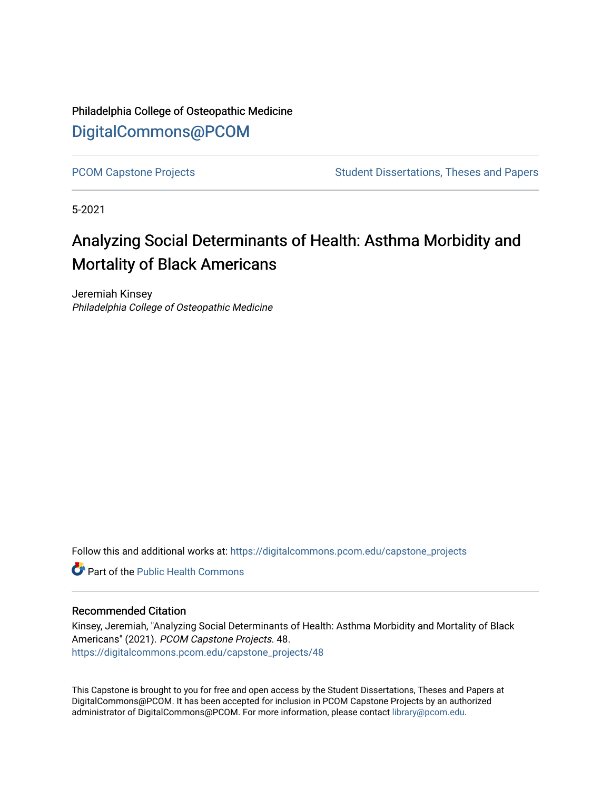Philadelphia College of Osteopathic Medicine [DigitalCommons@PCOM](https://digitalcommons.pcom.edu/) 

[PCOM Capstone Projects](https://digitalcommons.pcom.edu/capstone_projects) **Student Dissertations, Theses and Papers** Student Dissertations, Theses and Papers

5-2021

# Analyzing Social Determinants of Health: Asthma Morbidity and Mortality of Black Americans

Jeremiah Kinsey Philadelphia College of Osteopathic Medicine

Follow this and additional works at: [https://digitalcommons.pcom.edu/capstone\\_projects](https://digitalcommons.pcom.edu/capstone_projects?utm_source=digitalcommons.pcom.edu%2Fcapstone_projects%2F48&utm_medium=PDF&utm_campaign=PDFCoverPages)

**C** Part of the Public Health Commons

### Recommended Citation

Kinsey, Jeremiah, "Analyzing Social Determinants of Health: Asthma Morbidity and Mortality of Black Americans" (2021). PCOM Capstone Projects. 48. [https://digitalcommons.pcom.edu/capstone\\_projects/48](https://digitalcommons.pcom.edu/capstone_projects/48?utm_source=digitalcommons.pcom.edu%2Fcapstone_projects%2F48&utm_medium=PDF&utm_campaign=PDFCoverPages) 

This Capstone is brought to you for free and open access by the Student Dissertations, Theses and Papers at DigitalCommons@PCOM. It has been accepted for inclusion in PCOM Capstone Projects by an authorized administrator of DigitalCommons@PCOM. For more information, please contact [library@pcom.edu.](mailto:library@pcom.edu)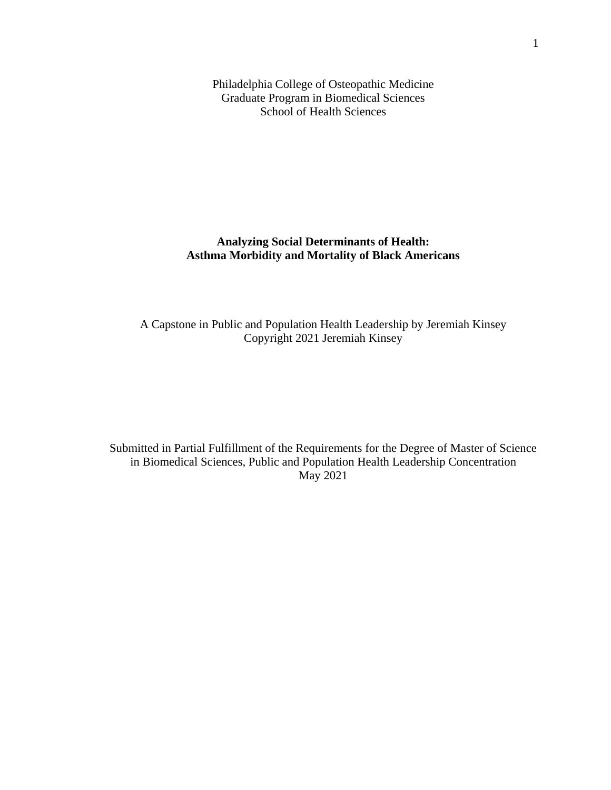Philadelphia College of Osteopathic Medicine Graduate Program in Biomedical Sciences School of Health Sciences

### **Analyzing Social Determinants of Health: Asthma Morbidity and Mortality of Black Americans**

A Capstone in Public and Population Health Leadership by Jeremiah Kinsey Copyright 2021 Jeremiah Kinsey

Submitted in Partial Fulfillment of the Requirements for the Degree of Master of Science in Biomedical Sciences, Public and Population Health Leadership Concentration May 2021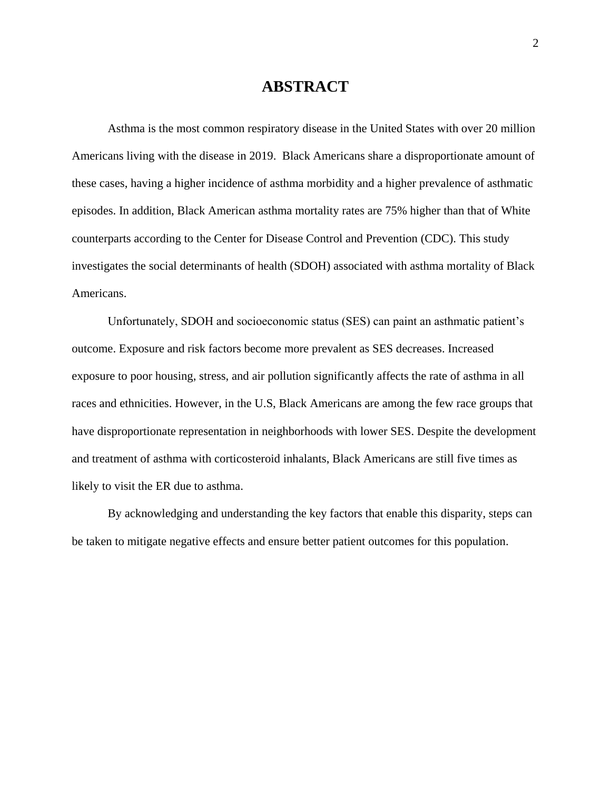# **ABSTRACT**

Asthma is the most common respiratory disease in the United States with over 20 million Americans living with the disease in 2019. Black Americans share a disproportionate amount of these cases, having a higher incidence of asthma morbidity and a higher prevalence of asthmatic episodes. In addition, Black American asthma mortality rates are 75% higher than that of White counterparts according to the Center for Disease Control and Prevention (CDC). This study investigates the social determinants of health (SDOH) associated with asthma mortality of Black Americans.

Unfortunately, SDOH and socioeconomic status (SES) can paint an asthmatic patient's outcome. Exposure and risk factors become more prevalent as SES decreases. Increased exposure to poor housing, stress, and air pollution significantly affects the rate of asthma in all races and ethnicities. However, in the U.S, Black Americans are among the few race groups that have disproportionate representation in neighborhoods with lower SES. Despite the development and treatment of asthma with corticosteroid inhalants, Black Americans are still five times as likely to visit the ER due to asthma.

By acknowledging and understanding the key factors that enable this disparity, steps can be taken to mitigate negative effects and ensure better patient outcomes for this population.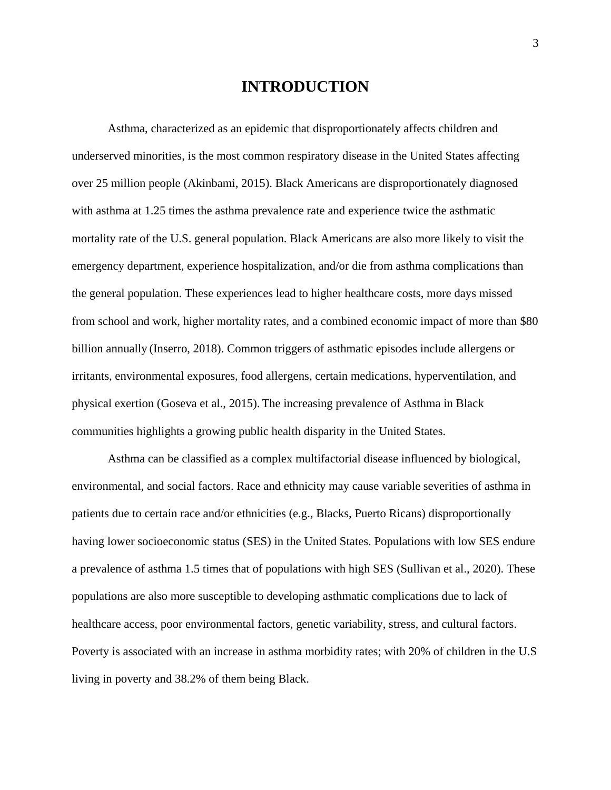# **INTRODUCTION**

Asthma, characterized as an epidemic that disproportionately affects children and underserved minorities, is the most common respiratory disease in the United States affecting over 25 million people (Akinbami, 2015). Black Americans are disproportionately diagnosed with asthma at 1.25 times the asthma prevalence rate and experience twice the asthmatic mortality rate of the U.S. general population. Black Americans are also more likely to visit the emergency department, experience hospitalization, and/or die from asthma complications than the general population. These experiences lead to higher healthcare costs, more days missed from school and work, higher mortality rates, and a combined economic impact of more than \$80 billion annually (Inserro, 2018). Common triggers of asthmatic episodes include allergens or irritants, environmental exposures, food allergens, certain medications, hyperventilation, and physical exertion (Goseva et al., 2015). The increasing prevalence of Asthma in Black communities highlights a growing public health disparity in the United States.

Asthma can be classified as a complex multifactorial disease influenced by biological, environmental, and social factors. Race and ethnicity may cause variable severities of asthma in patients due to certain race and/or ethnicities (e.g., Blacks, Puerto Ricans) disproportionally having lower socioeconomic status (SES) in the United States. Populations with low SES endure a prevalence of asthma 1.5 times that of populations with high SES (Sullivan et al., 2020). These populations are also more susceptible to developing asthmatic complications due to lack of healthcare access, poor environmental factors, genetic variability, stress, and cultural factors. Poverty is associated with an increase in asthma morbidity rates; with 20% of children in the U.S living in poverty and 38.2% of them being Black.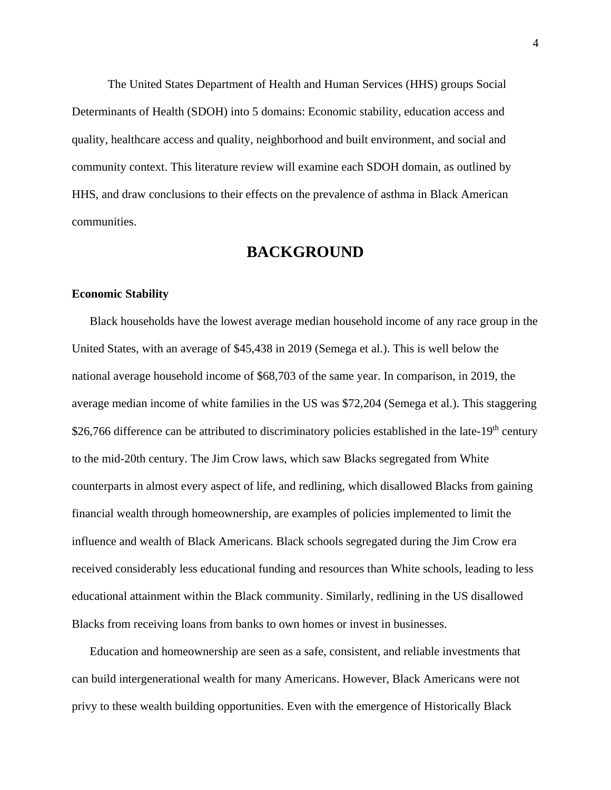The United States Department of Health and Human Services (HHS) groups Social Determinants of Health (SDOH) into 5 domains: Economic stability, education access and quality, healthcare access and quality, neighborhood and built environment, and social and community context. This literature review will examine each SDOH domain, as outlined by HHS, and draw conclusions to their effects on the prevalence of asthma in Black American communities.

### **BACKGROUND**

### **Economic Stability**

Black households have the lowest average median household income of any race group in the United States, with an average of \$45,438 in 2019 (Semega et al.). This is well below the national average household income of \$68,703 of the same year. In comparison, in 2019, the average median income of white families in the US was \$72,204 (Semega et al.). This staggering \$26,766 difference can be attributed to discriminatory policies established in the late-19<sup>th</sup> century to the mid-20th century. The Jim Crow laws, which saw Blacks segregated from White counterparts in almost every aspect of life, and redlining, which disallowed Blacks from gaining financial wealth through homeownership, are examples of policies implemented to limit the influence and wealth of Black Americans. Black schools segregated during the Jim Crow era received considerably less educational funding and resources than White schools, leading to less educational attainment within the Black community. Similarly, redlining in the US disallowed Blacks from receiving loans from banks to own homes or invest in businesses.

Education and homeownership are seen as a safe, consistent, and reliable investments that can build intergenerational wealth for many Americans. However, Black Americans were not privy to these wealth building opportunities. Even with the emergence of Historically Black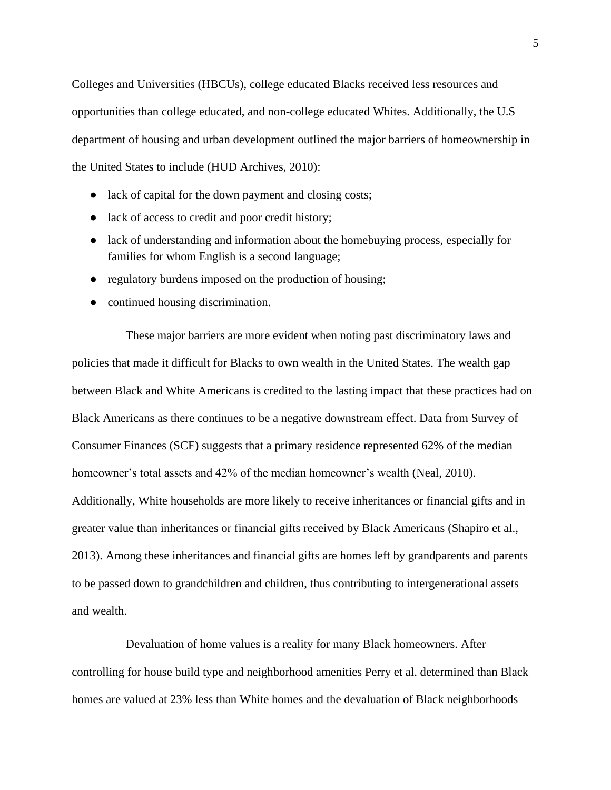Colleges and Universities (HBCUs), college educated Blacks received less resources and opportunities than college educated, and non-college educated Whites. Additionally, the U.S department of housing and urban development outlined the major barriers of homeownership in the United States to include (HUD Archives, 2010):

- lack of capital for the down payment and closing costs;
- lack of access to credit and poor credit history;
- lack of understanding and information about the homebuying process, especially for families for whom English is a second language;
- regulatory burdens imposed on the production of housing;
- continued housing discrimination.

These major barriers are more evident when noting past discriminatory laws and policies that made it difficult for Blacks to own wealth in the United States. The wealth gap between Black and White Americans is credited to the lasting impact that these practices had on Black Americans as there continues to be a negative downstream effect. Data from Survey of Consumer Finances (SCF) suggests that a primary residence represented 62% of the median homeowner's total assets and 42% of the median homeowner's wealth (Neal, 2010). Additionally, White households are more likely to receive inheritances or financial gifts and in greater value than inheritances or financial gifts received by Black Americans (Shapiro et al., 2013). Among these inheritances and financial gifts are homes left by grandparents and parents to be passed down to grandchildren and children, thus contributing to intergenerational assets and wealth.

Devaluation of home values is a reality for many Black homeowners. After controlling for house build type and neighborhood amenities Perry et al. determined than Black homes are valued at 23% less than White homes and the devaluation of Black neighborhoods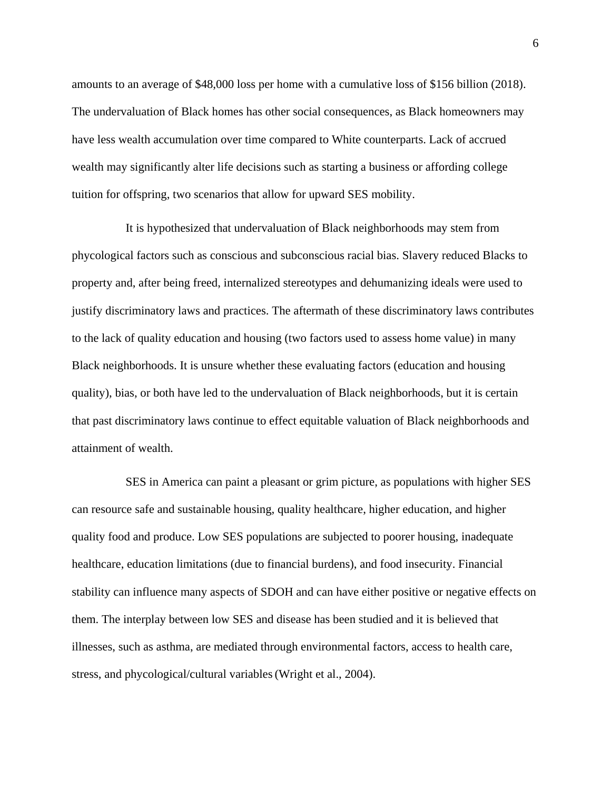amounts to an average of \$48,000 loss per home with a cumulative loss of \$156 billion (2018). The undervaluation of Black homes has other social consequences, as Black homeowners may have less wealth accumulation over time compared to White counterparts. Lack of accrued wealth may significantly alter life decisions such as starting a business or affording college tuition for offspring, two scenarios that allow for upward SES mobility.

It is hypothesized that undervaluation of Black neighborhoods may stem from phycological factors such as conscious and subconscious racial bias. Slavery reduced Blacks to property and, after being freed, internalized stereotypes and dehumanizing ideals were used to justify discriminatory laws and practices. The aftermath of these discriminatory laws contributes to the lack of quality education and housing (two factors used to assess home value) in many Black neighborhoods. It is unsure whether these evaluating factors (education and housing quality), bias, or both have led to the undervaluation of Black neighborhoods, but it is certain that past discriminatory laws continue to effect equitable valuation of Black neighborhoods and attainment of wealth.

SES in America can paint a pleasant or grim picture, as populations with higher SES can resource safe and sustainable housing, quality healthcare, higher education, and higher quality food and produce. Low SES populations are subjected to poorer housing, inadequate healthcare, education limitations (due to financial burdens), and food insecurity. Financial stability can influence many aspects of SDOH and can have either positive or negative effects on them. The interplay between low SES and disease has been studied and it is believed that illnesses, such as asthma, are mediated through environmental factors, access to health care, stress, and phycological/cultural variables(Wright et al., 2004).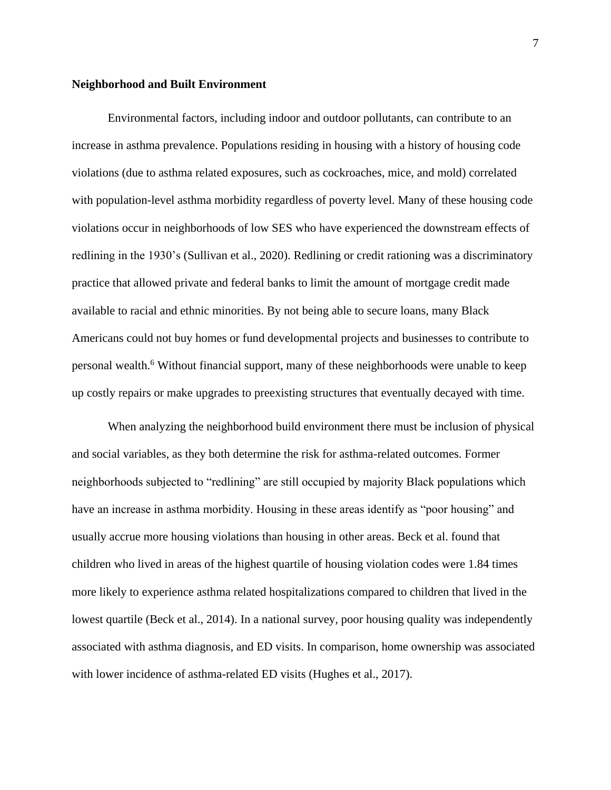#### **Neighborhood and Built Environment**

Environmental factors, including indoor and outdoor pollutants, can contribute to an increase in asthma prevalence. Populations residing in housing with a history of housing code violations (due to asthma related exposures, such as cockroaches, mice, and mold) correlated with population-level asthma morbidity regardless of poverty level. Many of these housing code violations occur in neighborhoods of low SES who have experienced the downstream effects of redlining in the 1930's (Sullivan et al., 2020). Redlining or credit rationing was a discriminatory practice that allowed private and federal banks to limit the amount of mortgage credit made available to racial and ethnic minorities. By not being able to secure loans, many Black Americans could not buy homes or fund developmental projects and businesses to contribute to personal wealth.<sup>6</sup> Without financial support, many of these neighborhoods were unable to keep up costly repairs or make upgrades to preexisting structures that eventually decayed with time.

When analyzing the neighborhood build environment there must be inclusion of physical and social variables, as they both determine the risk for asthma-related outcomes. Former neighborhoods subjected to "redlining" are still occupied by majority Black populations which have an increase in asthma morbidity. Housing in these areas identify as "poor housing" and usually accrue more housing violations than housing in other areas. Beck et al. found that children who lived in areas of the highest quartile of housing violation codes were 1.84 times more likely to experience asthma related hospitalizations compared to children that lived in the lowest quartile (Beck et al., 2014). In a national survey, poor housing quality was independently associated with asthma diagnosis, and ED visits. In comparison, home ownership was associated with lower incidence of asthma-related ED visits (Hughes et al., 2017).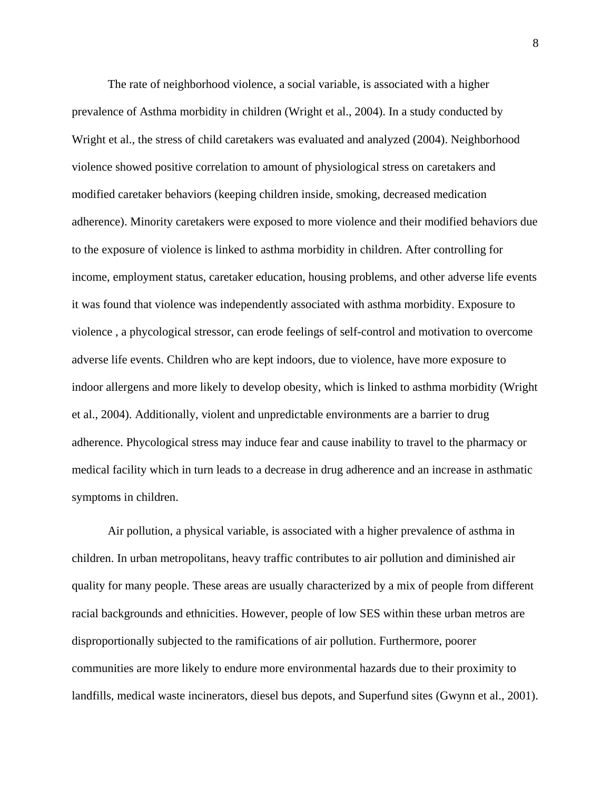The rate of neighborhood violence, a social variable, is associated with a higher prevalence of Asthma morbidity in children (Wright et al., 2004). In a study conducted by Wright et al., the stress of child caretakers was evaluated and analyzed (2004). Neighborhood violence showed positive correlation to amount of physiological stress on caretakers and modified caretaker behaviors (keeping children inside, smoking, decreased medication adherence). Minority caretakers were exposed to more violence and their modified behaviors due to the exposure of violence is linked to asthma morbidity in children. After controlling for income, employment status, caretaker education, housing problems, and other adverse life events it was found that violence was independently associated with asthma morbidity. Exposure to violence , a phycological stressor, can erode feelings of self-control and motivation to overcome adverse life events. Children who are kept indoors, due to violence, have more exposure to indoor allergens and more likely to develop obesity, which is linked to asthma morbidity (Wright et al., 2004). Additionally, violent and unpredictable environments are a barrier to drug adherence. Phycological stress may induce fear and cause inability to travel to the pharmacy or medical facility which in turn leads to a decrease in drug adherence and an increase in asthmatic symptoms in children.

Air pollution, a physical variable, is associated with a higher prevalence of asthma in children. In urban metropolitans, heavy traffic contributes to air pollution and diminished air quality for many people. These areas are usually characterized by a mix of people from different racial backgrounds and ethnicities. However, people of low SES within these urban metros are disproportionally subjected to the ramifications of air pollution. Furthermore, poorer communities are more likely to endure more environmental hazards due to their proximity to landfills, medical waste incinerators, diesel bus depots, and Superfund sites (Gwynn et al., 2001).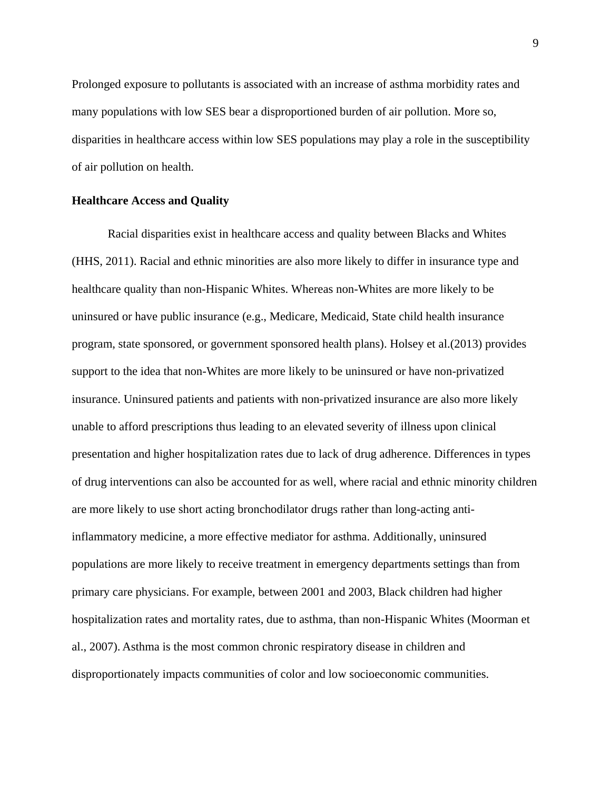Prolonged exposure to pollutants is associated with an increase of asthma morbidity rates and many populations with low SES bear a disproportioned burden of air pollution. More so, disparities in healthcare access within low SES populations may play a role in the susceptibility of air pollution on health.

#### **Healthcare Access and Quality**

Racial disparities exist in healthcare access and quality between Blacks and Whites (HHS, 2011). Racial and ethnic minorities are also more likely to differ in insurance type and healthcare quality than non-Hispanic Whites. Whereas non-Whites are more likely to be uninsured or have public insurance (e.g., Medicare, Medicaid, State child health insurance program, state sponsored, or government sponsored health plans). Holsey et al.(2013) provides support to the idea that non-Whites are more likely to be uninsured or have non-privatized insurance. Uninsured patients and patients with non-privatized insurance are also more likely unable to afford prescriptions thus leading to an elevated severity of illness upon clinical presentation and higher hospitalization rates due to lack of drug adherence. Differences in types of drug interventions can also be accounted for as well, where racial and ethnic minority children are more likely to use short acting bronchodilator drugs rather than long-acting antiinflammatory medicine, a more effective mediator for asthma. Additionally, uninsured populations are more likely to receive treatment in emergency departments settings than from primary care physicians. For example, between 2001 and 2003, Black children had higher hospitalization rates and mortality rates, due to asthma, than non-Hispanic Whites (Moorman et al., 2007). Asthma is the most common chronic respiratory disease in children and disproportionately impacts communities of color and low socioeconomic communities.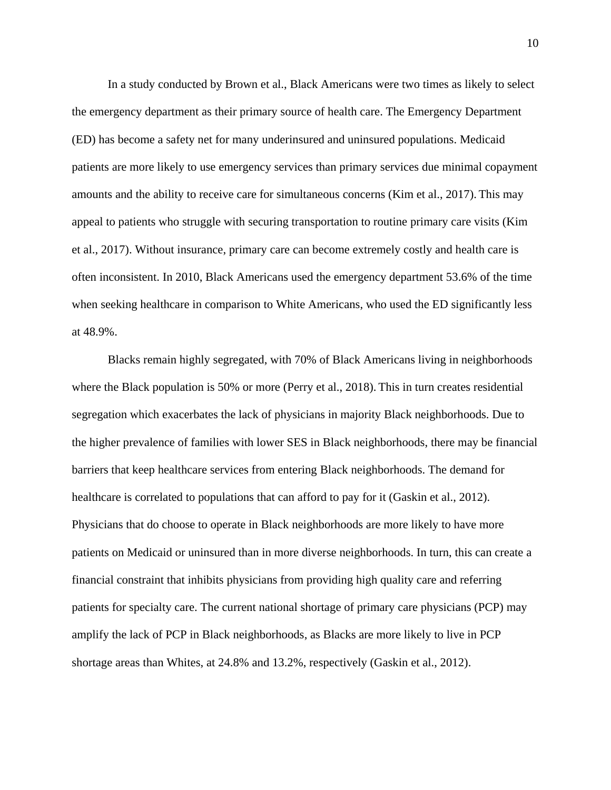In a study conducted by Brown et al., Black Americans were two times as likely to select the emergency department as their primary source of health care. The Emergency Department (ED) has become a safety net for many underinsured and uninsured populations. Medicaid patients are more likely to use emergency services than primary services due minimal copayment amounts and the ability to receive care for simultaneous concerns (Kim et al., 2017). This may appeal to patients who struggle with securing transportation to routine primary care visits (Kim et al., 2017). Without insurance, primary care can become extremely costly and health care is often inconsistent. In 2010, Black Americans used the emergency department 53.6% of the time when seeking healthcare in comparison to White Americans, who used the ED significantly less at 48.9%.

Blacks remain highly segregated, with 70% of Black Americans living in neighborhoods where the Black population is 50% or more (Perry et al., 2018). This in turn creates residential segregation which exacerbates the lack of physicians in majority Black neighborhoods. Due to the higher prevalence of families with lower SES in Black neighborhoods, there may be financial barriers that keep healthcare services from entering Black neighborhoods. The demand for healthcare is correlated to populations that can afford to pay for it (Gaskin et al., 2012). Physicians that do choose to operate in Black neighborhoods are more likely to have more patients on Medicaid or uninsured than in more diverse neighborhoods. In turn, this can create a financial constraint that inhibits physicians from providing high quality care and referring patients for specialty care. The current national shortage of primary care physicians (PCP) may amplify the lack of PCP in Black neighborhoods, as Blacks are more likely to live in PCP shortage areas than Whites, at 24.8% and 13.2%, respectively (Gaskin et al., 2012).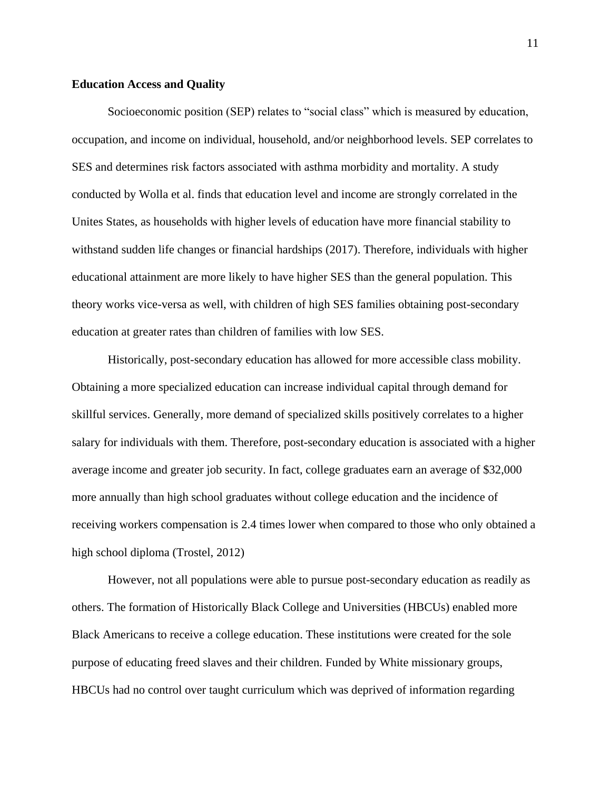#### **Education Access and Quality**

Socioeconomic position (SEP) relates to "social class" which is measured by education, occupation, and income on individual, household, and/or neighborhood levels. SEP correlates to SES and determines risk factors associated with asthma morbidity and mortality. A study conducted by Wolla et al. finds that education level and income are strongly correlated in the Unites States, as households with higher levels of education have more financial stability to withstand sudden life changes or financial hardships (2017). Therefore, individuals with higher educational attainment are more likely to have higher SES than the general population. This theory works vice-versa as well, with children of high SES families obtaining post-secondary education at greater rates than children of families with low SES.

Historically, post-secondary education has allowed for more accessible class mobility. Obtaining a more specialized education can increase individual capital through demand for skillful services. Generally, more demand of specialized skills positively correlates to a higher salary for individuals with them. Therefore, post-secondary education is associated with a higher average income and greater job security. In fact, college graduates earn an average of \$32,000 more annually than high school graduates without college education and the incidence of receiving workers compensation is 2.4 times lower when compared to those who only obtained a high school diploma (Trostel, 2012)

However, not all populations were able to pursue post-secondary education as readily as others. The formation of Historically Black College and Universities (HBCUs) enabled more Black Americans to receive a college education. These institutions were created for the sole purpose of educating freed slaves and their children. Funded by White missionary groups, HBCUs had no control over taught curriculum which was deprived of information regarding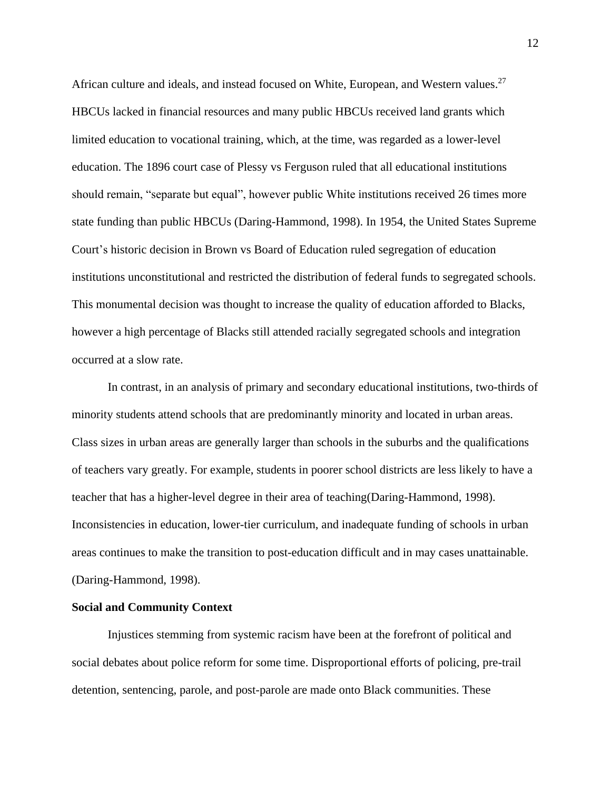African culture and ideals, and instead focused on White, European, and Western values.<sup>27</sup> HBCUs lacked in financial resources and many public HBCUs received land grants which limited education to vocational training, which, at the time, was regarded as a lower-level education. The 1896 court case of Plessy vs Ferguson ruled that all educational institutions should remain, "separate but equal", however public White institutions received 26 times more state funding than public HBCUs (Daring-Hammond, 1998). In 1954, the United States Supreme Court's historic decision in Brown vs Board of Education ruled segregation of education institutions unconstitutional and restricted the distribution of federal funds to segregated schools. This monumental decision was thought to increase the quality of education afforded to Blacks, however a high percentage of Blacks still attended racially segregated schools and integration occurred at a slow rate.

In contrast, in an analysis of primary and secondary educational institutions, two-thirds of minority students attend schools that are predominantly minority and located in urban areas. Class sizes in urban areas are generally larger than schools in the suburbs and the qualifications of teachers vary greatly. For example, students in poorer school districts are less likely to have a teacher that has a higher-level degree in their area of teaching(Daring-Hammond, 1998). Inconsistencies in education, lower-tier curriculum, and inadequate funding of schools in urban areas continues to make the transition to post-education difficult and in may cases unattainable. (Daring-Hammond, 1998).

#### **Social and Community Context**

Injustices stemming from systemic racism have been at the forefront of political and social debates about police reform for some time. Disproportional efforts of policing, pre-trail detention, sentencing, parole, and post-parole are made onto Black communities. These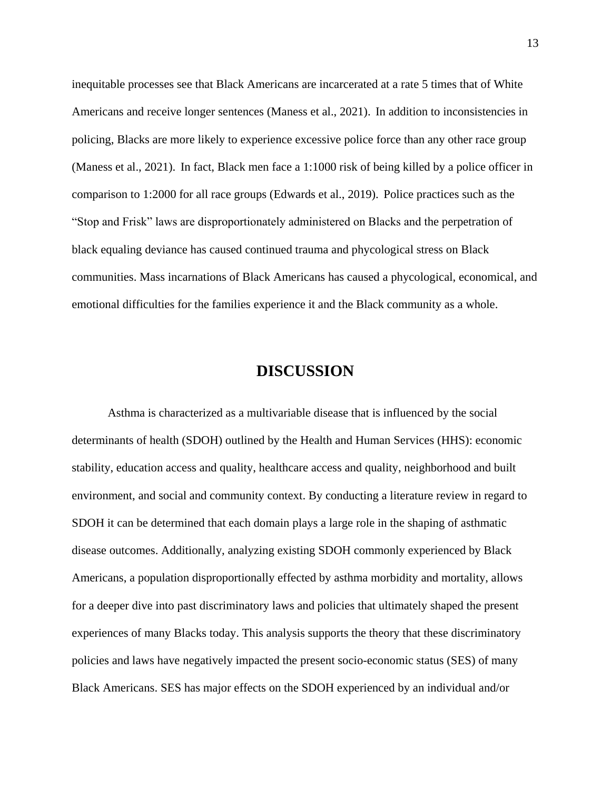inequitable processes see that Black Americans are incarcerated at a rate 5 times that of White Americans and receive longer sentences (Maness et al., 2021). In addition to inconsistencies in policing, Blacks are more likely to experience excessive police force than any other race group (Maness et al., 2021). In fact, Black men face a 1:1000 risk of being killed by a police officer in comparison to 1:2000 for all race groups (Edwards et al., 2019). Police practices such as the "Stop and Frisk" laws are disproportionately administered on Blacks and the perpetration of black equaling deviance has caused continued trauma and phycological stress on Black communities. Mass incarnations of Black Americans has caused a phycological, economical, and emotional difficulties for the families experience it and the Black community as a whole.

### **DISCUSSION**

Asthma is characterized as a multivariable disease that is influenced by the social determinants of health (SDOH) outlined by the Health and Human Services (HHS): economic stability, education access and quality, healthcare access and quality, neighborhood and built environment, and social and community context. By conducting a literature review in regard to SDOH it can be determined that each domain plays a large role in the shaping of asthmatic disease outcomes. Additionally, analyzing existing SDOH commonly experienced by Black Americans, a population disproportionally effected by asthma morbidity and mortality, allows for a deeper dive into past discriminatory laws and policies that ultimately shaped the present experiences of many Blacks today. This analysis supports the theory that these discriminatory policies and laws have negatively impacted the present socio-economic status (SES) of many Black Americans. SES has major effects on the SDOH experienced by an individual and/or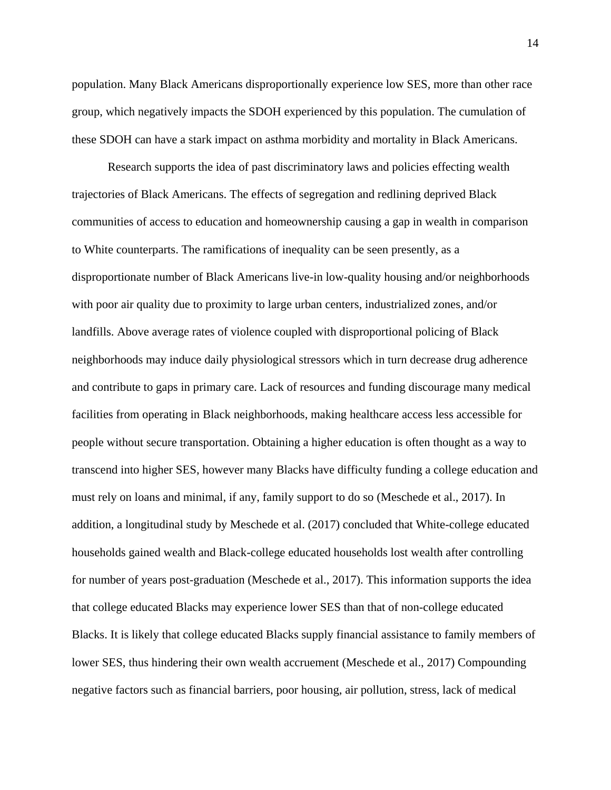population. Many Black Americans disproportionally experience low SES, more than other race group, which negatively impacts the SDOH experienced by this population. The cumulation of these SDOH can have a stark impact on asthma morbidity and mortality in Black Americans.

Research supports the idea of past discriminatory laws and policies effecting wealth trajectories of Black Americans. The effects of segregation and redlining deprived Black communities of access to education and homeownership causing a gap in wealth in comparison to White counterparts. The ramifications of inequality can be seen presently, as a disproportionate number of Black Americans live-in low-quality housing and/or neighborhoods with poor air quality due to proximity to large urban centers, industrialized zones, and/or landfills. Above average rates of violence coupled with disproportional policing of Black neighborhoods may induce daily physiological stressors which in turn decrease drug adherence and contribute to gaps in primary care. Lack of resources and funding discourage many medical facilities from operating in Black neighborhoods, making healthcare access less accessible for people without secure transportation. Obtaining a higher education is often thought as a way to transcend into higher SES, however many Blacks have difficulty funding a college education and must rely on loans and minimal, if any, family support to do so (Meschede et al., 2017). In addition, a longitudinal study by Meschede et al. (2017) concluded that White-college educated households gained wealth and Black-college educated households lost wealth after controlling for number of years post-graduation (Meschede et al., 2017). This information supports the idea that college educated Blacks may experience lower SES than that of non-college educated Blacks. It is likely that college educated Blacks supply financial assistance to family members of lower SES, thus hindering their own wealth accruement (Meschede et al., 2017) Compounding negative factors such as financial barriers, poor housing, air pollution, stress, lack of medical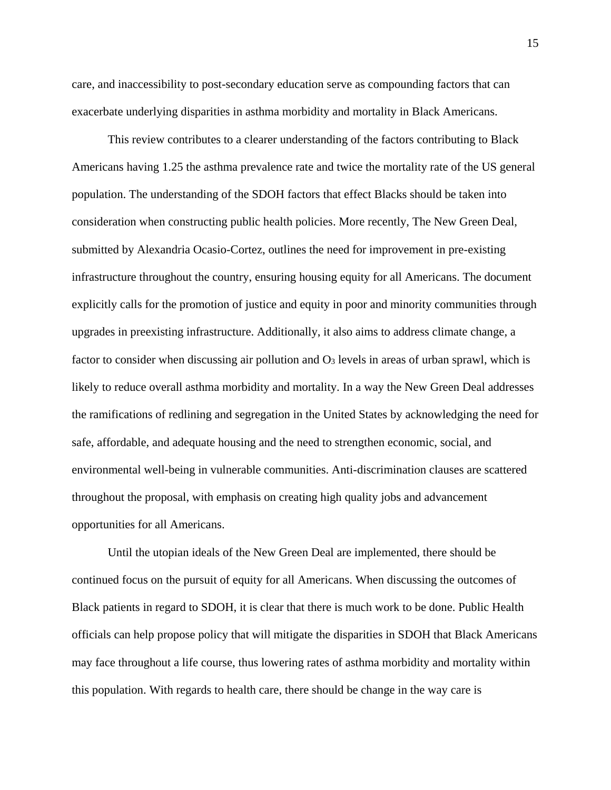care, and inaccessibility to post-secondary education serve as compounding factors that can exacerbate underlying disparities in asthma morbidity and mortality in Black Americans.

This review contributes to a clearer understanding of the factors contributing to Black Americans having 1.25 the asthma prevalence rate and twice the mortality rate of the US general population. The understanding of the SDOH factors that effect Blacks should be taken into consideration when constructing public health policies. More recently, The New Green Deal, submitted by Alexandria Ocasio-Cortez, outlines the need for improvement in pre-existing infrastructure throughout the country, ensuring housing equity for all Americans. The document explicitly calls for the promotion of justice and equity in poor and minority communities through upgrades in preexisting infrastructure. Additionally, it also aims to address climate change, a factor to consider when discussing air pollution and  $\Omega_3$  levels in areas of urban sprawl, which is likely to reduce overall asthma morbidity and mortality. In a way the New Green Deal addresses the ramifications of redlining and segregation in the United States by acknowledging the need for safe, affordable, and adequate housing and the need to strengthen economic, social, and environmental well-being in vulnerable communities. Anti-discrimination clauses are scattered throughout the proposal, with emphasis on creating high quality jobs and advancement opportunities for all Americans.

Until the utopian ideals of the New Green Deal are implemented, there should be continued focus on the pursuit of equity for all Americans. When discussing the outcomes of Black patients in regard to SDOH, it is clear that there is much work to be done. Public Health officials can help propose policy that will mitigate the disparities in SDOH that Black Americans may face throughout a life course, thus lowering rates of asthma morbidity and mortality within this population. With regards to health care, there should be change in the way care is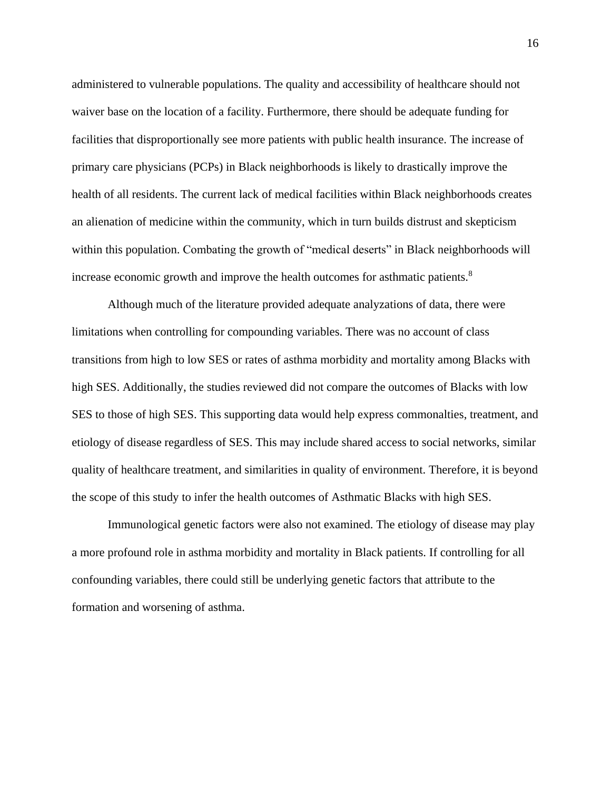administered to vulnerable populations. The quality and accessibility of healthcare should not waiver base on the location of a facility. Furthermore, there should be adequate funding for facilities that disproportionally see more patients with public health insurance. The increase of primary care physicians (PCPs) in Black neighborhoods is likely to drastically improve the health of all residents. The current lack of medical facilities within Black neighborhoods creates an alienation of medicine within the community, which in turn builds distrust and skepticism within this population. Combating the growth of "medical deserts" in Black neighborhoods will increase economic growth and improve the health outcomes for asthmatic patients.<sup>8</sup>

Although much of the literature provided adequate analyzations of data, there were limitations when controlling for compounding variables. There was no account of class transitions from high to low SES or rates of asthma morbidity and mortality among Blacks with high SES. Additionally, the studies reviewed did not compare the outcomes of Blacks with low SES to those of high SES. This supporting data would help express commonalties, treatment, and etiology of disease regardless of SES. This may include shared access to social networks, similar quality of healthcare treatment, and similarities in quality of environment. Therefore, it is beyond the scope of this study to infer the health outcomes of Asthmatic Blacks with high SES.

Immunological genetic factors were also not examined. The etiology of disease may play a more profound role in asthma morbidity and mortality in Black patients. If controlling for all confounding variables, there could still be underlying genetic factors that attribute to the formation and worsening of asthma.

16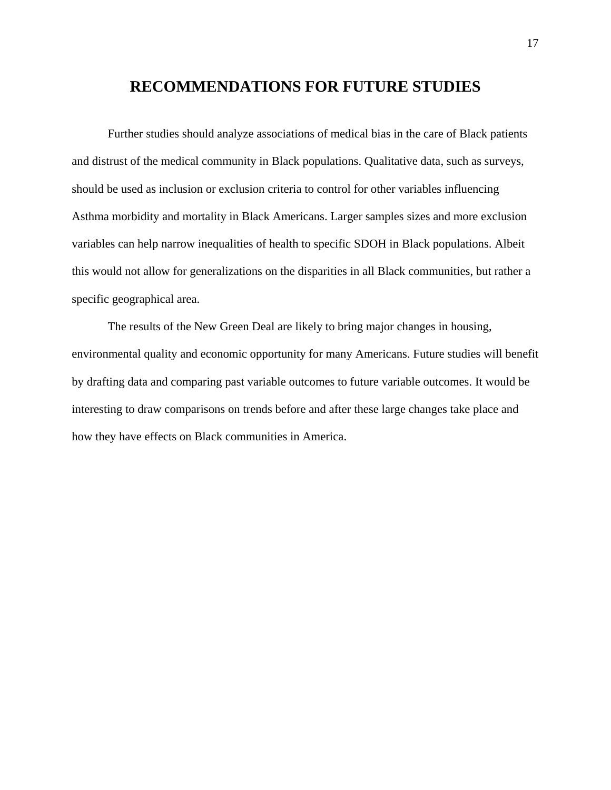# **RECOMMENDATIONS FOR FUTURE STUDIES**

Further studies should analyze associations of medical bias in the care of Black patients and distrust of the medical community in Black populations. Qualitative data, such as surveys, should be used as inclusion or exclusion criteria to control for other variables influencing Asthma morbidity and mortality in Black Americans. Larger samples sizes and more exclusion variables can help narrow inequalities of health to specific SDOH in Black populations. Albeit this would not allow for generalizations on the disparities in all Black communities, but rather a specific geographical area.

The results of the New Green Deal are likely to bring major changes in housing, environmental quality and economic opportunity for many Americans. Future studies will benefit by drafting data and comparing past variable outcomes to future variable outcomes. It would be interesting to draw comparisons on trends before and after these large changes take place and how they have effects on Black communities in America.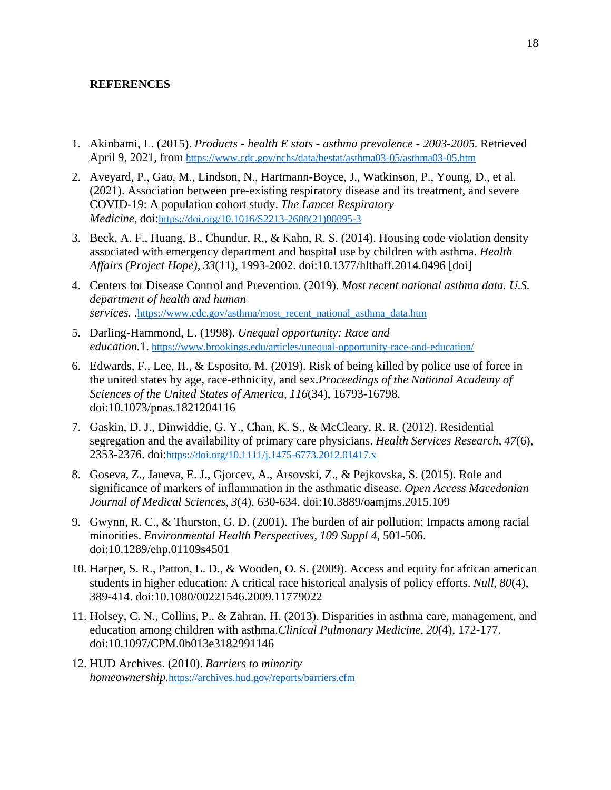#### **REFERENCES**

- 1. Akinbami, L. (2015). *Products - health E stats - asthma prevalence - 2003-2005.* Retrieved April 9, 2021, from <https://www.cdc.gov/nchs/data/hestat/asthma03-05/asthma03-05.htm>
- 2. Aveyard, P., Gao, M., Lindson, N., Hartmann-Boyce, J., Watkinson, P., Young, D., et al. (2021). Association between pre-existing respiratory disease and its treatment, and severe COVID-19: A population cohort study. *The Lancet Respiratory Medicine,* doi:[https://doi.org/10.1016/S2213-2600\(21\)00095-3](https://doi.org/10.1016/S2213-2600(21)00095-3)
- 3. Beck, A. F., Huang, B., Chundur, R., & Kahn, R. S. (2014). Housing code violation density associated with emergency department and hospital use by children with asthma. *Health Affairs (Project Hope), 33*(11), 1993-2002. doi:10.1377/hlthaff.2014.0496 [doi]
- 4. Centers for Disease Control and Prevention. (2019). *Most recent national asthma data. U.S. department of health and human services. .*[https://www.cdc.gov/asthma/most\\_recent\\_national\\_asthma\\_data.htm](https://www.cdc.gov/asthma/most_recent_national_asthma_data.htm)
- 5. Darling-Hammond, L. (1998). *Unequal opportunity: Race and education.*1. <https://www.brookings.edu/articles/unequal-opportunity-race-and-education/>
- 6. Edwards, F., Lee, H., & Esposito, M. (2019). Risk of being killed by police use of force in the united states by age, race-ethnicity, and sex.*Proceedings of the National Academy of Sciences of the United States of America, 116*(34), 16793-16798. doi:10.1073/pnas.1821204116
- 7. Gaskin, D. J., Dinwiddie, G. Y., Chan, K. S., & McCleary, R. R. (2012). Residential segregation and the availability of primary care physicians. *Health Services Research, 47*(6), 2353-2376. doi:<https://doi.org/10.1111/j.1475-6773.2012.01417.x>
- 8. Goseva, Z., Janeva, E. J., Gjorcev, A., Arsovski, Z., & Pejkovska, S. (2015). Role and significance of markers of inflammation in the asthmatic disease. *Open Access Macedonian Journal of Medical Sciences, 3*(4), 630-634. doi:10.3889/oamjms.2015.109
- 9. Gwynn, R. C., & Thurston, G. D. (2001). The burden of air pollution: Impacts among racial minorities. *Environmental Health Perspectives, 109 Suppl 4*, 501-506. doi:10.1289/ehp.01109s4501
- 10. Harper, S. R., Patton, L. D., & Wooden, O. S. (2009). Access and equity for african american students in higher education: A critical race historical analysis of policy efforts. *Null, 80*(4), 389-414. doi:10.1080/00221546.2009.11779022
- 11. Holsey, C. N., Collins, P., & Zahran, H. (2013). Disparities in asthma care, management, and education among children with asthma.*Clinical Pulmonary Medicine, 20*(4), 172-177. doi:10.1097/CPM.0b013e3182991146
- 12. HUD Archives. (2010). *Barriers to minority homeownership.*<https://archives.hud.gov/reports/barriers.cfm>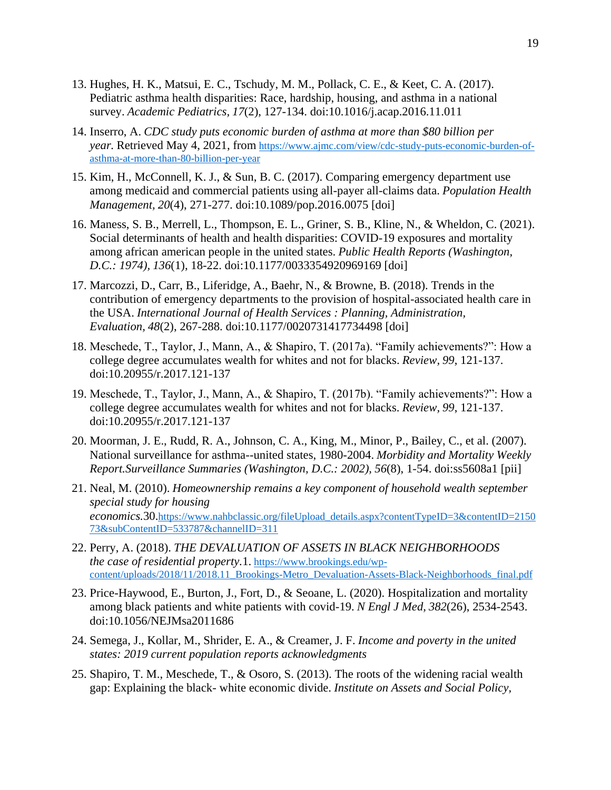- 13. Hughes, H. K., Matsui, E. C., Tschudy, M. M., Pollack, C. E., & Keet, C. A. (2017). Pediatric asthma health disparities: Race, hardship, housing, and asthma in a national survey. *Academic Pediatrics, 17*(2), 127-134. doi:10.1016/j.acap.2016.11.011
- 14. Inserro, A. *CDC study puts economic burden of asthma at more than \$80 billion per year.* Retrieved May 4, 2021, from [https://www.ajmc.com/view/cdc-study-puts-economic-burden-of](https://www.ajmc.com/view/cdc-study-puts-economic-burden-of-asthma-at-more-than-80-billion-per-year)[asthma-at-more-than-80-billion-per-year](https://www.ajmc.com/view/cdc-study-puts-economic-burden-of-asthma-at-more-than-80-billion-per-year)
- 15. Kim, H., McConnell, K. J., & Sun, B. C. (2017). Comparing emergency department use among medicaid and commercial patients using all-payer all-claims data. *Population Health Management, 20*(4), 271-277. doi:10.1089/pop.2016.0075 [doi]
- 16. Maness, S. B., Merrell, L., Thompson, E. L., Griner, S. B., Kline, N., & Wheldon, C. (2021). Social determinants of health and health disparities: COVID-19 exposures and mortality among african american people in the united states. *Public Health Reports (Washington, D.C.: 1974), 136*(1), 18-22. doi:10.1177/0033354920969169 [doi]
- 17. Marcozzi, D., Carr, B., Liferidge, A., Baehr, N., & Browne, B. (2018). Trends in the contribution of emergency departments to the provision of hospital-associated health care in the USA. *International Journal of Health Services : Planning, Administration, Evaluation, 48*(2), 267-288. doi:10.1177/0020731417734498 [doi]
- 18. Meschede, T., Taylor, J., Mann, A., & Shapiro, T. (2017a). "Family achievements?": How a college degree accumulates wealth for whites and not for blacks. *Review, 99*, 121-137. doi:10.20955/r.2017.121-137
- 19. Meschede, T., Taylor, J., Mann, A., & Shapiro, T. (2017b). "Family achievements?": How a college degree accumulates wealth for whites and not for blacks. *Review, 99*, 121-137. doi:10.20955/r.2017.121-137
- 20. Moorman, J. E., Rudd, R. A., Johnson, C. A., King, M., Minor, P., Bailey, C., et al. (2007). National surveillance for asthma--united states, 1980-2004. *Morbidity and Mortality Weekly Report.Surveillance Summaries (Washington, D.C.: 2002), 56*(8), 1-54. doi:ss5608a1 [pii]
- 21. Neal, M. (2010). *Homeownership remains a key component of household wealth september special study for housing economics.*30.[https://www.nahbclassic.org/fileUpload\\_details.aspx?contentTypeID=3&contentID=2150](https://www.nahbclassic.org/fileUpload_details.aspx?contentTypeID=3&contentID=215073&subContentID=533787&channelID=311) [73&subContentID=533787&channelID=311](https://www.nahbclassic.org/fileUpload_details.aspx?contentTypeID=3&contentID=215073&subContentID=533787&channelID=311)
- 22. Perry, A. (2018). *THE DEVALUATION OF ASSETS IN BLACK NEIGHBORHOODS the case of residential property.*1. [https://www.brookings.edu/wp](https://www.brookings.edu/wp-content/uploads/2018/11/2018.11_Brookings-Metro_Devaluation-Assets-Black-Neighborhoods_final.pdf)[content/uploads/2018/11/2018.11\\_Brookings-Metro\\_Devaluation-Assets-Black-Neighborhoods\\_final.pdf](https://www.brookings.edu/wp-content/uploads/2018/11/2018.11_Brookings-Metro_Devaluation-Assets-Black-Neighborhoods_final.pdf)
- 23. Price-Haywood, E., Burton, J., Fort, D., & Seoane, L. (2020). Hospitalization and mortality among black patients and white patients with covid-19. *N Engl J Med, 382*(26), 2534-2543. doi:10.1056/NEJMsa2011686
- 24. Semega, J., Kollar, M., Shrider, E. A., & Creamer, J. F. *Income and poverty in the united states: 2019 current population reports acknowledgments*
- 25. Shapiro, T. M., Meschede, T., & Osoro, S. (2013). The roots of the widening racial wealth gap: Explaining the black- white economic divide. *Institute on Assets and Social Policy,*